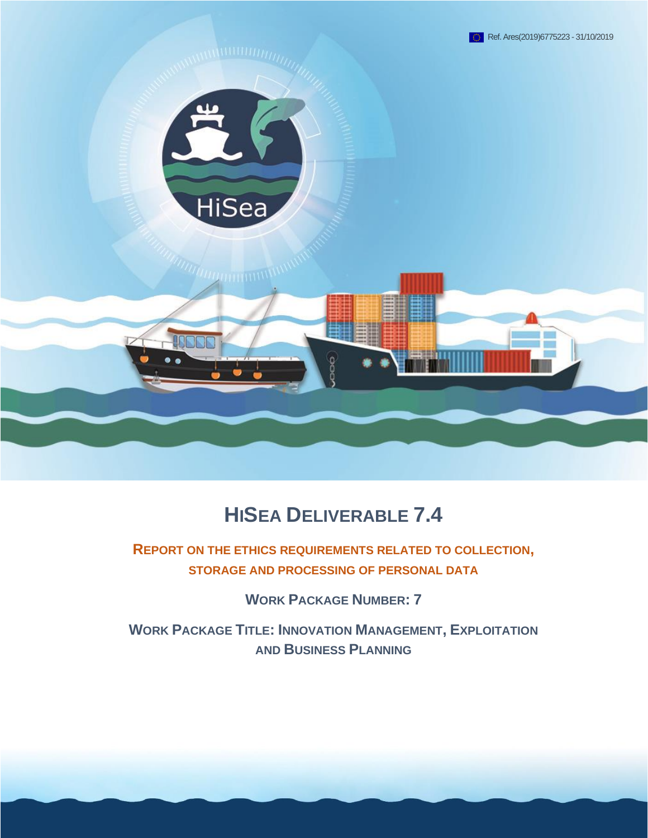

# **HISEA DELIVERABLE 7.4**

**REPORT ON THE ETHICS REQUIREMENTS RELATED TO COLLECTION, STORAGE AND PROCESSING OF PERSONAL DATA**

**WORK PACKAGE NUMBER: 7**

**WORK PACKAGE TITLE: INNOVATION MANAGEMENT, EXPLOITATION AND BUSINESS PLANNING**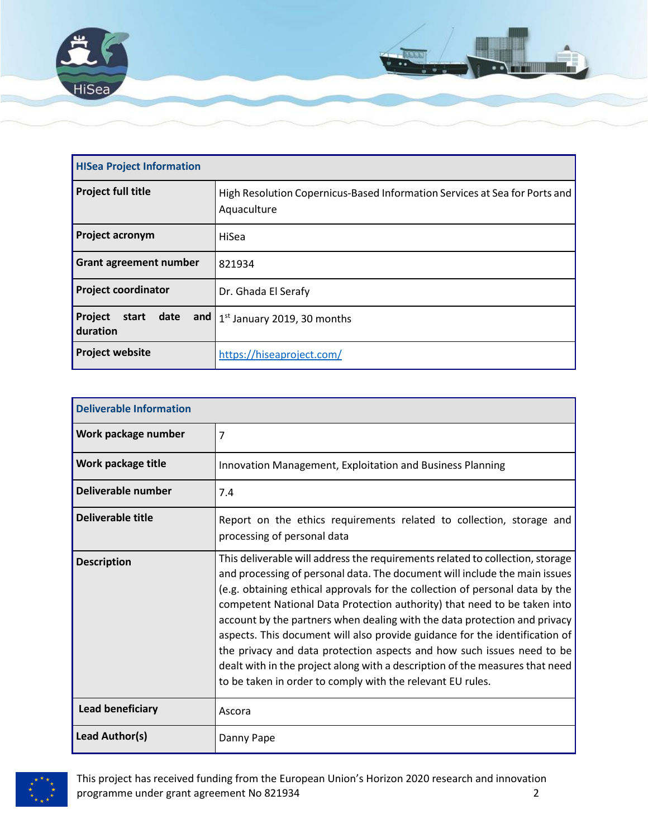

| <b>HISea Project Information</b>  |                                                                                           |  |
|-----------------------------------|-------------------------------------------------------------------------------------------|--|
| <b>Project full title</b>         | High Resolution Copernicus-Based Information Services at Sea for Ports and<br>Aquaculture |  |
| <b>Project acronym</b>            | HiSea                                                                                     |  |
| <b>Grant agreement number</b>     | 821934                                                                                    |  |
| <b>Project coordinator</b>        | Dr. Ghada El Serafy                                                                       |  |
| Project<br>start date<br>duration | and $1st$ January 2019, 30 months                                                         |  |
| <b>Project website</b>            | https://hiseaproject.com/                                                                 |  |

| <b>Deliverable Information</b> |                                                                                                                                                                                                                                                                                                                                                                                                                                                                                                                                                                                                                                                                                                             |  |
|--------------------------------|-------------------------------------------------------------------------------------------------------------------------------------------------------------------------------------------------------------------------------------------------------------------------------------------------------------------------------------------------------------------------------------------------------------------------------------------------------------------------------------------------------------------------------------------------------------------------------------------------------------------------------------------------------------------------------------------------------------|--|
| Work package number            | 7                                                                                                                                                                                                                                                                                                                                                                                                                                                                                                                                                                                                                                                                                                           |  |
| Work package title             | Innovation Management, Exploitation and Business Planning                                                                                                                                                                                                                                                                                                                                                                                                                                                                                                                                                                                                                                                   |  |
| Deliverable number             | 7.4                                                                                                                                                                                                                                                                                                                                                                                                                                                                                                                                                                                                                                                                                                         |  |
| <b>Deliverable title</b>       | Report on the ethics requirements related to collection, storage and<br>processing of personal data                                                                                                                                                                                                                                                                                                                                                                                                                                                                                                                                                                                                         |  |
| <b>Description</b>             | This deliverable will address the requirements related to collection, storage<br>and processing of personal data. The document will include the main issues<br>(e.g. obtaining ethical approvals for the collection of personal data by the<br>competent National Data Protection authority) that need to be taken into<br>account by the partners when dealing with the data protection and privacy<br>aspects. This document will also provide guidance for the identification of<br>the privacy and data protection aspects and how such issues need to be<br>dealt with in the project along with a description of the measures that need<br>to be taken in order to comply with the relevant EU rules. |  |
| Lead beneficiary               | Ascora                                                                                                                                                                                                                                                                                                                                                                                                                                                                                                                                                                                                                                                                                                      |  |
| Lead Author(s)                 | Danny Pape                                                                                                                                                                                                                                                                                                                                                                                                                                                                                                                                                                                                                                                                                                  |  |



This project has received funding from the European Union's Horizon 2020 research and innovation programme under grant agreement No 821934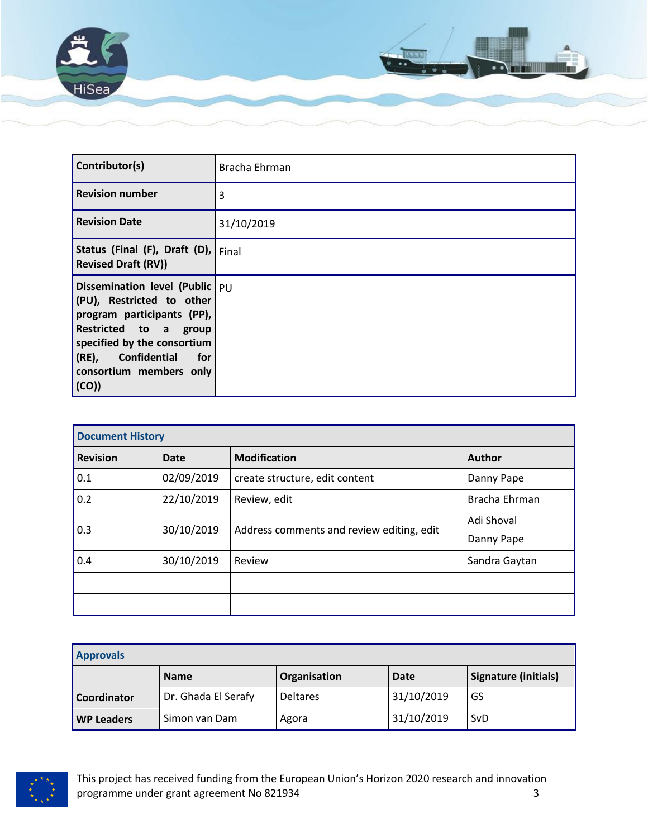

| Contributor(s)                                                                                                                                                                                                      | Bracha Ehrman |
|---------------------------------------------------------------------------------------------------------------------------------------------------------------------------------------------------------------------|---------------|
| <b>Revision number</b>                                                                                                                                                                                              | 3             |
| <b>Revision Date</b>                                                                                                                                                                                                | 31/10/2019    |
| Status (Final (F), Draft (D), Final<br><b>Revised Draft (RV))</b>                                                                                                                                                   |               |
| Dissemination level (Public   PU<br>(PU), Restricted to other<br>program participants (PP),<br>Restricted to a group<br>specified by the consortium<br>(RE), Confidential<br>for<br>consortium members only<br>(CO) |               |

| <b>Document History</b> |            |                                              |               |
|-------------------------|------------|----------------------------------------------|---------------|
| <b>Revision</b>         | Date       | <b>Modification</b>                          | <b>Author</b> |
| 0.1                     | 02/09/2019 | create structure, edit content<br>Danny Pape |               |
| 0.2                     | 22/10/2019 | Bracha Ehrman<br>Review, edit                |               |
| 0.3                     | 30/10/2019 | Address comments and review editing, edit    | Adi Shoval    |
|                         |            |                                              | Danny Pape    |
| 0.4                     | 30/10/2019 | Review                                       | Sandra Gaytan |
|                         |            |                                              |               |
|                         |            |                                              |               |

| <b>Approvals</b>   |                     |                     |            |                             |
|--------------------|---------------------|---------------------|------------|-----------------------------|
|                    | <b>Name</b>         | <b>Organisation</b> | Date       | <b>Signature (initials)</b> |
| <b>Coordinator</b> | Dr. Ghada El Serafy | <b>Deltares</b>     | 31/10/2019 | GS                          |
| <b>WP Leaders</b>  | Simon van Dam       | Agora               | 31/10/2019 | SvD                         |

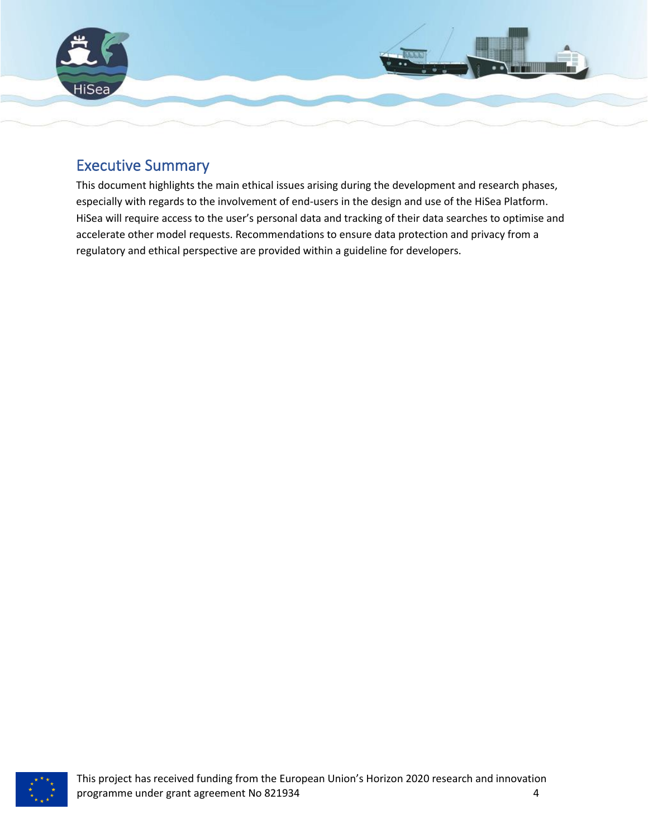

## <span id="page-3-0"></span>Executive Summary

This document highlights the main ethical issues arising during the development and research phases, especially with regards to the involvement of end-users in the design and use of the HiSea Platform. HiSea will require access to the user's personal data and tracking of their data searches to optimise and accelerate other model requests. Recommendations to ensure data protection and privacy from a regulatory and ethical perspective are provided within a guideline for developers.

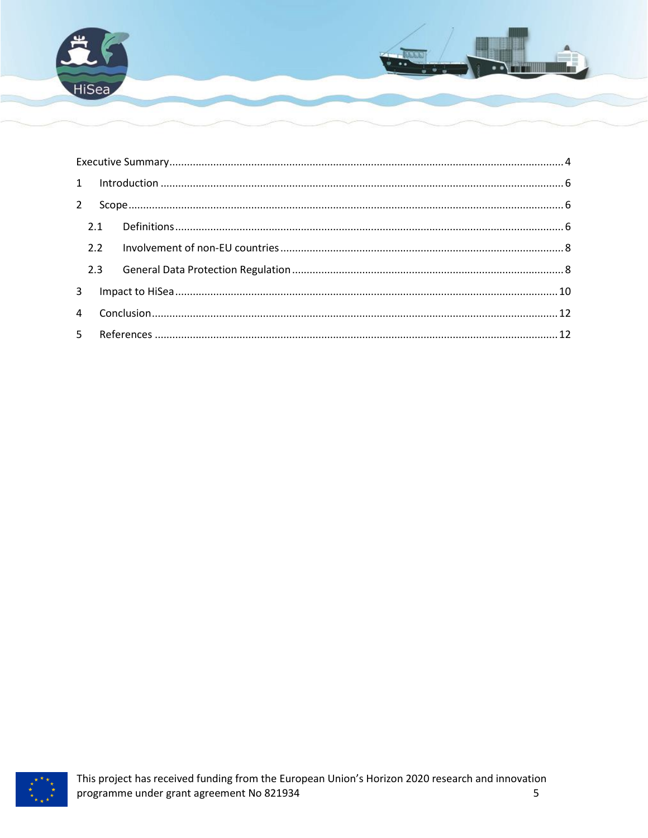

| $3^{\circ}$ |  |  |  |  |
|-------------|--|--|--|--|
|             |  |  |  |  |
|             |  |  |  |  |

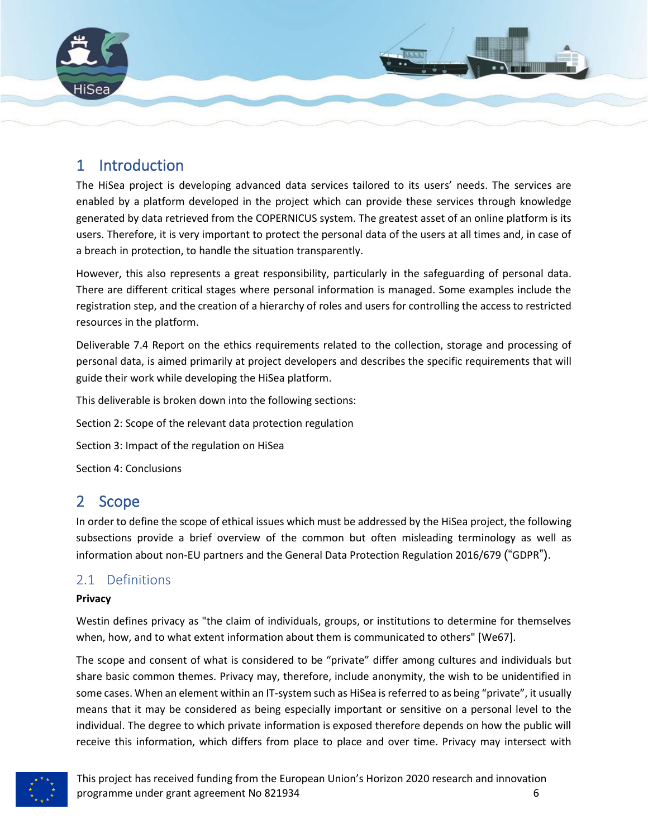

## <span id="page-5-0"></span>1 Introduction

The HiSea project is developing advanced data services tailored to its users' needs. The services are enabled by a platform developed in the project which can provide these services through knowledge generated by data retrieved from the COPERNICUS system. The greatest asset of an online platform is its users. Therefore, it is very important to protect the personal data of the users at all times and, in case of a breach in protection, to handle the situation transparently.

However, this also represents a great responsibility, particularly in the safeguarding of personal data. There are different critical stages where personal information is managed. Some examples include the registration step, and the creation of a hierarchy of roles and users for controlling the access to restricted resources in the platform.

Deliverable 7.4 Report on the ethics requirements related to the collection, storage and processing of personal data, is aimed primarily at project developers and describes the specific requirements that will guide their work while developing the HiSea platform.

This deliverable is broken down into the following sections:

Section 2: Scope of the relevant data protection regulation

Section 3: Impact of the regulation on HiSea

Section 4: Conclusions

## <span id="page-5-1"></span>2 Scope

In order to define the scope of ethical issues which must be addressed by the HiSea project, the following subsections provide a brief overview of the common but often misleading terminology as well as information about non-EU partners and the General Data Protection Regulation 2016/679 ("GDPR").

### <span id="page-5-2"></span>2.1 Definitions

### **Privacy**

Westin defines privacy as "the claim of individuals, groups, or institutions to determine for themselves when, how, and to what extent information about them is communicated to others" [We67].

The scope and consent of what is considered to be "private" differ among cultures and individuals but share basic common themes. Privacy may, therefore, include anonymity, the wish to be unidentified in some cases. When an element within an IT-system such as HiSea is referred to as being "private", it usually means that it may be considered as being especially important or sensitive on a personal level to the individual. The degree to which private information is exposed therefore depends on how the public will receive this information, which differs from place to place and over time. Privacy may intersect with

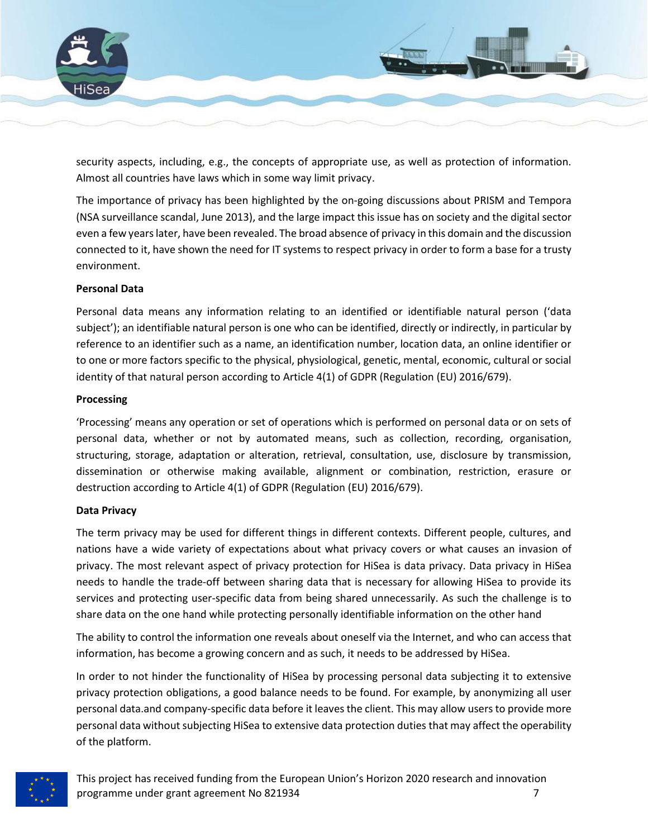

security aspects, including, e.g., the concepts of appropriate use, as well as protection of information. Almost all countries have laws which in some way limit privacy.

The importance of privacy has been highlighted by the on-going discussions about PRISM and Tempora (NSA surveillance scandal, June 2013), and the large impact this issue has on society and the digital sector even a few years later, have been revealed. The broad absence of privacy in this domain and the discussion connected to it, have shown the need for IT systems to respect privacy in order to form a base for a trusty environment.

### **Personal Data**

Personal data means any information relating to an identified or identifiable natural person ('data subject'); an identifiable natural person is one who can be identified, directly or indirectly, in particular by reference to an identifier such as a name, an identification number, location data, an online identifier or to one or more factors specific to the physical, physiological, genetic, mental, economic, cultural or social identity of that natural person according to Article 4(1) of GDPR (Regulation (EU) 2016/679).

#### **Processing**

'Processing' means any operation or set of operations which is performed on personal data or on sets of personal data, whether or not by automated means, such as collection, recording, organisation, structuring, storage, adaptation or alteration, retrieval, consultation, use, disclosure by transmission, dissemination or otherwise making available, alignment or combination, restriction, erasure or destruction according to Article 4(1) of GDPR (Regulation (EU) 2016/679).

#### **Data Privacy**

The term privacy may be used for different things in different contexts. Different people, cultures, and nations have a wide variety of expectations about what privacy covers or what causes an invasion of privacy. The most relevant aspect of privacy protection for HiSea is data privacy. Data privacy in HiSea needs to handle the trade-off between sharing data that is necessary for allowing HiSea to provide its services and protecting user-specific data from being shared unnecessarily. As such the challenge is to share data on the one hand while protecting personally identifiable information on the other hand

The ability to control the information one reveals about oneself via the Internet, and who can access that information, has become a growing concern and as such, it needs to be addressed by HiSea.

In order to not hinder the functionality of HiSea by processing personal data subjecting it to extensive privacy protection obligations, a good balance needs to be found. For example, by anonymizing all user personal data.and company-specific data before it leaves the client. This may allow users to provide more personal data without subjecting HiSea to extensive data protection duties that may affect the operability of the platform.

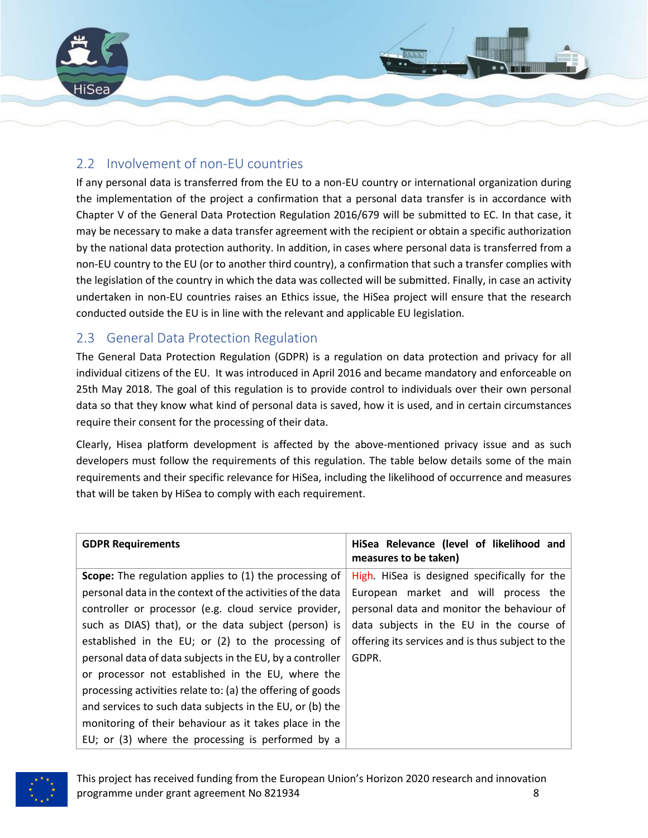

## <span id="page-7-0"></span>2.2 Involvement of non-EU countries

If any personal data is transferred from the EU to a non-EU country or international organization during the implementation of the project a confirmation that a personal data transfer is in accordance with Chapter V of the General Data Protection Regulation 2016/679 will be submitted to EC. In that case, it may be necessary to make a data transfer agreement with the recipient or obtain a specific authorization by the national data protection authority. In addition, in cases where personal data is transferred from a non-EU country to the EU (or to another third country), a confirmation that such a transfer complies with the legislation of the country in which the data was collected will be submitted. Finally, in case an activity undertaken in non-EU countries raises an Ethics issue, the HiSea project will ensure that the research conducted outside the EU is in line with the relevant and applicable EU legislation.

## <span id="page-7-1"></span>2.3 General Data Protection Regulation

The General Data Protection Regulation (GDPR) is a regulation on data protection and privacy for all individual citizens of the EU. It was introduced in April 2016 and became mandatory and enforceable on 25th May 2018. The goal of this regulation is to provide control to individuals over their own personal data so that they know what kind of personal data is saved, how it is used, and in certain circumstances require their consent for the processing of their data.

Clearly, Hisea platform development is affected by the above-mentioned privacy issue and as such developers must follow the requirements of this regulation. The table below details some of the main requirements and their specific relevance for HiSea, including the likelihood of occurrence and measures that will be taken by HiSea to comply with each requirement.

| <b>GDPR Requirements</b>                                   | HiSea Relevance (level of likelihood and<br>measures to be taken) |
|------------------------------------------------------------|-------------------------------------------------------------------|
| Scope: The regulation applies to (1) the processing of     | High. HiSea is designed specifically for the                      |
| personal data in the context of the activities of the data | European market and will process the                              |
| controller or processor (e.g. cloud service provider,      | personal data and monitor the behaviour of                        |
| such as DIAS) that), or the data subject (person) is       | data subjects in the EU in the course of                          |
| established in the EU; or (2) to the processing of         | offering its services and is thus subject to the                  |
| personal data of data subjects in the EU, by a controller  | GDPR.                                                             |
| or processor not established in the EU, where the          |                                                                   |
| processing activities relate to: (a) the offering of goods |                                                                   |
| and services to such data subjects in the EU, or (b) the   |                                                                   |
| monitoring of their behaviour as it takes place in the     |                                                                   |
| EU; or (3) where the processing is performed by a          |                                                                   |

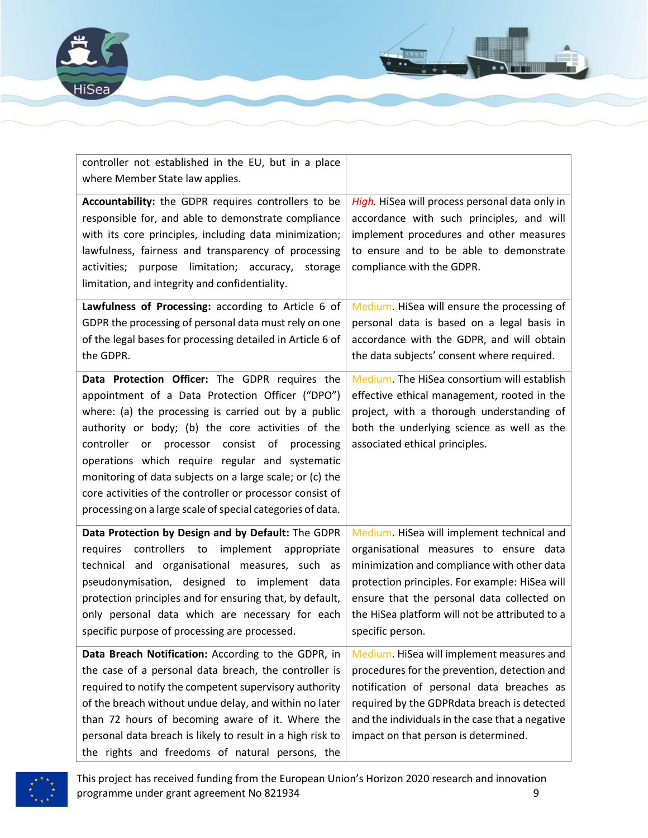



| controller not established in the EU, but in a place<br>where Member State law applies.                                                                                                                                                                                                                                                                                                                                                                                                                       |                                                                                                                                                                                                                                                                                                           |
|---------------------------------------------------------------------------------------------------------------------------------------------------------------------------------------------------------------------------------------------------------------------------------------------------------------------------------------------------------------------------------------------------------------------------------------------------------------------------------------------------------------|-----------------------------------------------------------------------------------------------------------------------------------------------------------------------------------------------------------------------------------------------------------------------------------------------------------|
| Accountability: the GDPR requires controllers to be<br>responsible for, and able to demonstrate compliance<br>with its core principles, including data minimization;<br>lawfulness, fairness and transparency of processing<br>purpose limitation; accuracy,<br>activities;<br>storage<br>limitation, and integrity and confidentiality.                                                                                                                                                                      | High. HiSea will process personal data only in<br>accordance with such principles, and will<br>implement procedures and other measures<br>to ensure and to be able to demonstrate<br>compliance with the GDPR.                                                                                            |
| Lawfulness of Processing: according to Article 6 of<br>GDPR the processing of personal data must rely on one<br>of the legal bases for processing detailed in Article 6 of<br>the GDPR.                                                                                                                                                                                                                                                                                                                       | Medium. HiSea will ensure the processing of<br>personal data is based on a legal basis in<br>accordance with the GDPR, and will obtain<br>the data subjects' consent where required.                                                                                                                      |
| Data Protection Officer: The GDPR requires the<br>appointment of a Data Protection Officer ("DPO")<br>where: (a) the processing is carried out by a public<br>authority or body; (b) the core activities of the<br>controller or processor consist<br>of processing<br>operations which require regular and systematic<br>monitoring of data subjects on a large scale; or (c) the<br>core activities of the controller or processor consist of<br>processing on a large scale of special categories of data. | Medium. The HiSea consortium will establish<br>effective ethical management, rooted in the<br>project, with a thorough understanding of<br>both the underlying science as well as the<br>associated ethical principles.                                                                                   |
| Data Protection by Design and by Default: The GDPR<br>controllers to<br>implement appropriate<br>requires<br>technical and organisational measures, such as<br>pseudonymisation, designed to implement data<br>protection principles and for ensuring that, by default,<br>only personal data which are necessary for each<br>specific purpose of processing are processed.                                                                                                                                   | Medium. HiSea will implement technical and<br>organisational measures to ensure data<br>minimization and compliance with other data<br>protection principles. For example: HiSea will<br>ensure that the personal data collected on<br>the HiSea platform will not be attributed to a<br>specific person. |
| Data Breach Notification: According to the GDPR, in<br>the case of a personal data breach, the controller is<br>required to notify the competent supervisory authority<br>of the breach without undue delay, and within no later<br>than 72 hours of becoming aware of it. Where the<br>personal data breach is likely to result in a high risk to<br>the rights and freedoms of natural persons, the                                                                                                         | Medium. HiSea will implement measures and<br>procedures for the prevention, detection and<br>notification of personal data breaches as<br>required by the GDPRdata breach is detected<br>and the individuals in the case that a negative<br>impact on that person is determined.                          |

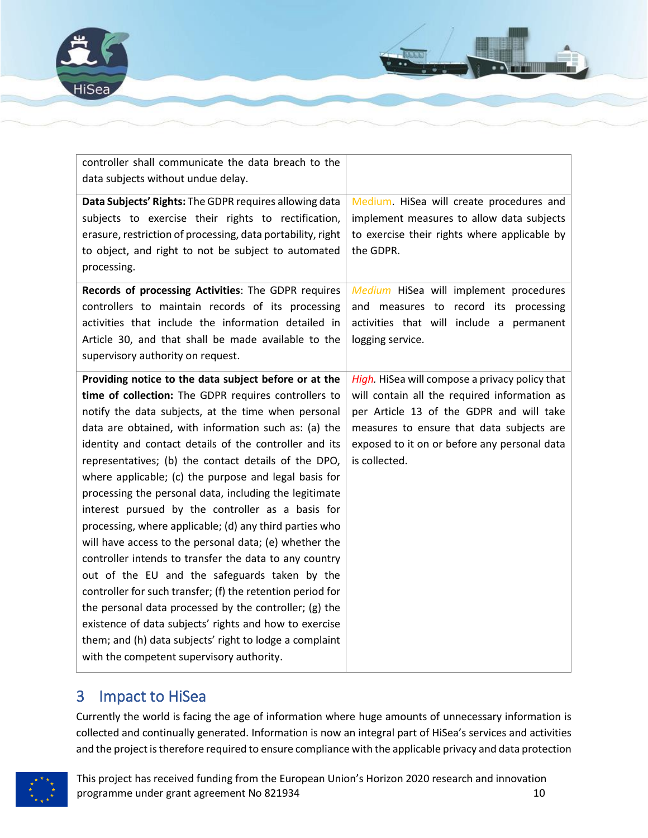

| controller shall communicate the data breach to the         |                                                |
|-------------------------------------------------------------|------------------------------------------------|
| data subjects without undue delay.                          |                                                |
| Data Subjects' Rights: The GDPR requires allowing data      | Medium. HiSea will create procedures and       |
| subjects to exercise their rights to rectification,         | implement measures to allow data subjects      |
| erasure, restriction of processing, data portability, right | to exercise their rights where applicable by   |
| to object, and right to not be subject to automated         | the GDPR.                                      |
| processing.                                                 |                                                |
| Records of processing Activities: The GDPR requires         | Medium HiSea will implement procedures         |
| controllers to maintain records of its processing           | and measures to record its processing          |
| activities that include the information detailed in         | activities that will include a permanent       |
| Article 30, and that shall be made available to the         | logging service.                               |
| supervisory authority on request.                           |                                                |
| Providing notice to the data subject before or at the       | High. HiSea will compose a privacy policy that |
| time of collection: The GDPR requires controllers to        | will contain all the required information as   |
| notify the data subjects, at the time when personal         | per Article 13 of the GDPR and will take       |
| data are obtained, with information such as: (a) the        | measures to ensure that data subjects are      |
| identity and contact details of the controller and its      | exposed to it on or before any personal data   |
| representatives; (b) the contact details of the DPO,        | is collected.                                  |
| where applicable; (c) the purpose and legal basis for       |                                                |
| processing the personal data, including the legitimate      |                                                |
| interest pursued by the controller as a basis for           |                                                |
| processing, where applicable; (d) any third parties who     |                                                |
| will have access to the personal data; (e) whether the      |                                                |
| controller intends to transfer the data to any country      |                                                |
| out of the EU and the safeguards taken by the               |                                                |
| controller for such transfer; (f) the retention period for  |                                                |
| the personal data processed by the controller; (g) the      |                                                |
| existence of data subjects' rights and how to exercise      |                                                |
| them; and (h) data subjects' right to lodge a complaint     |                                                |
| with the competent supervisory authority.                   |                                                |

## <span id="page-9-0"></span>3 Impact to HiSea

Currently the world is facing the age of information where huge amounts of unnecessary information is collected and continually generated. Information is now an integral part of HiSea's services and activities and the project is therefore required to ensure compliance with the applicable privacy and data protection

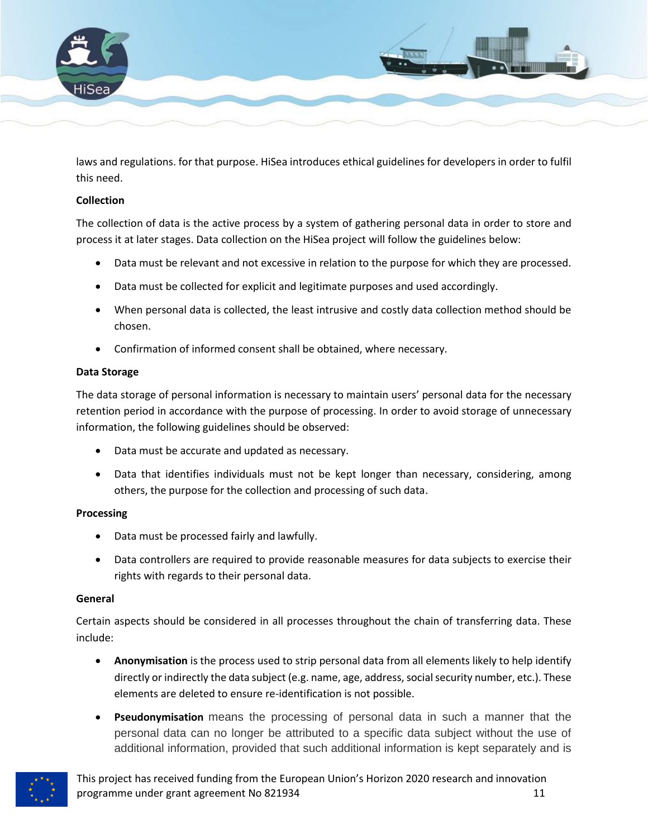

laws and regulations. for that purpose. HiSea introduces ethical guidelines for developers in order to fulfil this need.

### **Collection**

The collection of data is the active process by a system of gathering personal data in order to store and process it at later stages. Data collection on the HiSea project will follow the guidelines below:

- Data must be relevant and not excessive in relation to the purpose for which they are processed.
- Data must be collected for explicit and legitimate purposes and used accordingly.
- When personal data is collected, the least intrusive and costly data collection method should be chosen.
- Confirmation of informed consent shall be obtained, where necessary.

### **Data Storage**

The data storage of personal information is necessary to maintain users' personal data for the necessary retention period in accordance with the purpose of processing. In order to avoid storage of unnecessary information, the following guidelines should be observed:

- Data must be accurate and updated as necessary.
- Data that identifies individuals must not be kept longer than necessary, considering, among others, the purpose for the collection and processing of such data.

### **Processing**

- Data must be processed fairly and lawfully.
- Data controllers are required to provide reasonable measures for data subjects to exercise their rights with regards to their personal data.

### **General**

Certain aspects should be considered in all processes throughout the chain of transferring data. These include:

- **Anonymisation** is the process used to strip personal data from all elements likely to help identify directly or indirectly the data subject (e.g. name, age, address, social security number, etc.). These elements are deleted to ensure re-identification is not possible.
- **Pseudonymisation** means the processing of personal data in such a manner that the personal data can no longer be attributed to a specific data subject without the use of additional information, provided that such additional information is kept separately and is